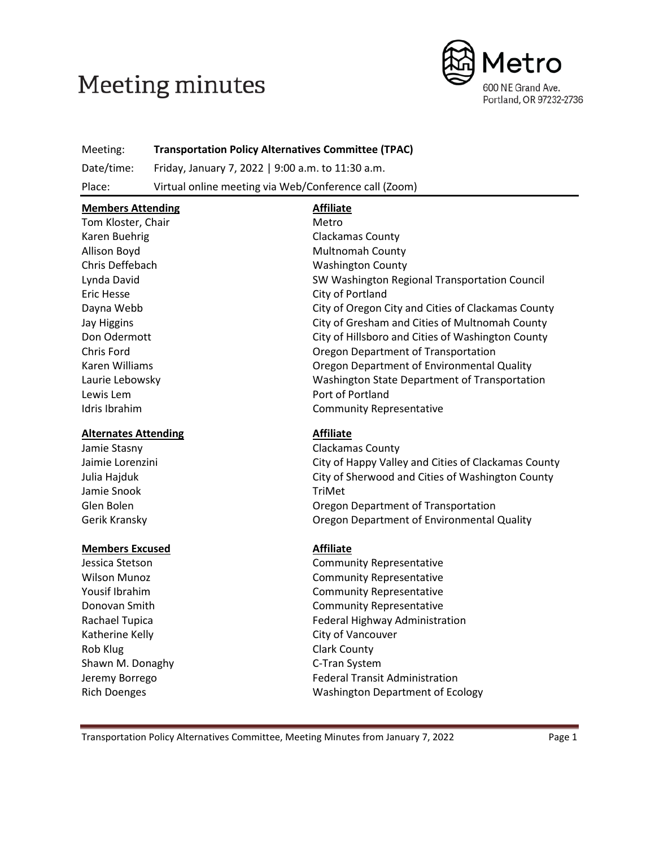# **Meeting minutes**



Meeting: **Transportation Policy Alternatives Committee (TPAC)**

Date/time: Friday, January 7, 2022 | 9:00 a.m. to 11:30 a.m.

Place: Virtual online meeting via Web/Conference call (Zoom)

| <b>Members Attending</b>                                     | <b>Affiliate</b>                                   |  |  |
|--------------------------------------------------------------|----------------------------------------------------|--|--|
| Tom Kloster, Chair                                           | Metro                                              |  |  |
| Karen Buehrig                                                | <b>Clackamas County</b>                            |  |  |
| Allison Boyd                                                 | <b>Multnomah County</b>                            |  |  |
| Chris Deffebach                                              | <b>Washington County</b>                           |  |  |
| Lynda David                                                  | SW Washington Regional Transportation Council      |  |  |
| Eric Hesse                                                   | City of Portland                                   |  |  |
| Dayna Webb                                                   | City of Oregon City and Cities of Clackamas County |  |  |
| Jay Higgins                                                  | City of Gresham and Cities of Multnomah County     |  |  |
| Don Odermott                                                 | City of Hillsboro and Cities of Washington County  |  |  |
| Chris Ford                                                   | Oregon Department of Transportation                |  |  |
| Karen Williams<br>Oregon Department of Environmental Quality |                                                    |  |  |
| Laurie Lebowsky                                              | Washington State Department of Transportation      |  |  |
| Lewis Lem                                                    | Port of Portland                                   |  |  |
| Idris Ibrahim                                                | <b>Community Representative</b>                    |  |  |
| <b>Alternates Attending</b>                                  | <b>Affiliate</b>                                   |  |  |
| Jamie Stasny                                                 | Clackamas County                                   |  |  |

Jaimie Lorenzini City of Happy Valley and Cities of Clackamas County Julia Hajduk City of Sherwood and Cities of Washington County Jamie Snook TriMet Glen Bolen **Container Community** Cregon Department of Transportation Gerik Kransky Oregon Department of Environmental Quality

#### **Members Excused Affiliate**

Katherine Kelly **City of Vancouver** Rob Klug **Clark County** Shawn M. Donaghy C-Tran System

Jessica Stetson Community Representative Wilson Munoz **Community Representative** Yousif Ibrahim Community Representative Donovan Smith Community Representative Rachael Tupica **Federal Highway Administration** Jeremy Borrego **Federal Transit Administration** Rich Doenges Washington Department of Ecology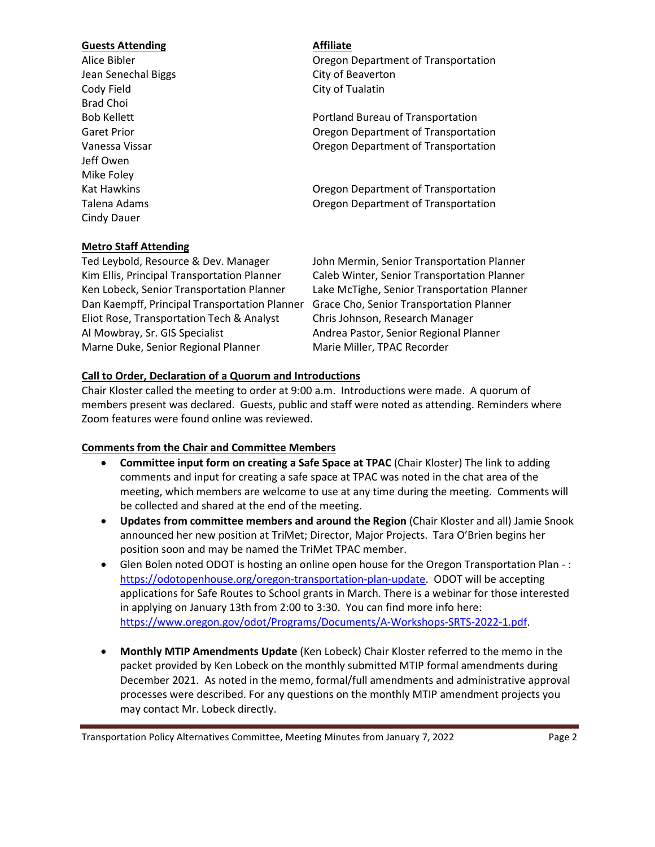#### **Guests Attending Affiliate**

Jean Senechal Biggs City of Beaverton Cody Field Cody Field City of Tualatin Brad Choi Jeff Owen Mike Foley Cindy Dauer

#### **Metro Staff Attending**

Alice Bibler Oregon Department of Transportation

Bob Kellett **Portland Bureau of Transportation** Garet Prior **Caref Prior** Caref Prior Caref Prior Caref Department of Transportation Vanessa Vissar **Vanessa Vissar** Cregon Department of Transportation

Kat Hawkins **National Example 2018** Cregon Department of Transportation Talena Adams Oregon Department of Transportation

Ted Leybold, Resource & Dev. Manager John Mermin, Senior Transportation Planner Kim Ellis, Principal Transportation Planner Caleb Winter, Senior Transportation Planner Ken Lobeck, Senior Transportation Planner Lake McTighe, Senior Transportation Planner Dan Kaempff, Principal Transportation Planner Grace Cho, Senior Transportation Planner Eliot Rose, Transportation Tech & Analyst Chris Johnson, Research Manager Al Mowbray, Sr. GIS Specialist Andrea Pastor, Senior Regional Planner Marne Duke, Senior Regional Planner Marie Miller, TPAC Recorder

#### **Call to Order, Declaration of a Quorum and Introductions**

Chair Kloster called the meeting to order at 9:00 a.m. Introductions were made. A quorum of members present was declared. Guests, public and staff were noted as attending. Reminders where Zoom features were found online was reviewed.

#### **Comments from the Chair and Committee Members**

- **Committee input form on creating a Safe Space at TPAC** (Chair Kloster) The link to adding comments and input for creating a safe space at TPAC was noted in the chat area of the meeting, which members are welcome to use at any time during the meeting. Comments will be collected and shared at the end of the meeting.
- **Updates from committee members and around the Region** (Chair Kloster and all) Jamie Snook announced her new position at TriMet; Director, Major Projects. Tara O'Brien begins her position soon and may be named the TriMet TPAC member.
- Glen Bolen noted ODOT is hosting an online open house for the Oregon Transportation Plan -: [https://odotopenhouse.org/oregon-transportation-plan-update.](https://odotopenhouse.org/oregon-transportation-plan-update) ODOT will be accepting applications for Safe Routes to School grants in March. There is a webinar for those interested in applying on January 13th from 2:00 to 3:30. You can find more info here: [https://www.oregon.gov/odot/Programs/Documents/A-Workshops-SRTS-2022-1.pdf.](https://www.oregon.gov/odot/Programs/Documents/A-Workshops-SRTS-2022-1.pdf)
- **Monthly MTIP Amendments Update** (Ken Lobeck) Chair Kloster referred to the memo in the packet provided by Ken Lobeck on the monthly submitted MTIP formal amendments during December 2021. As noted in the memo, formal/full amendments and administrative approval processes were described. For any questions on the monthly MTIP amendment projects you may contact Mr. Lobeck directly.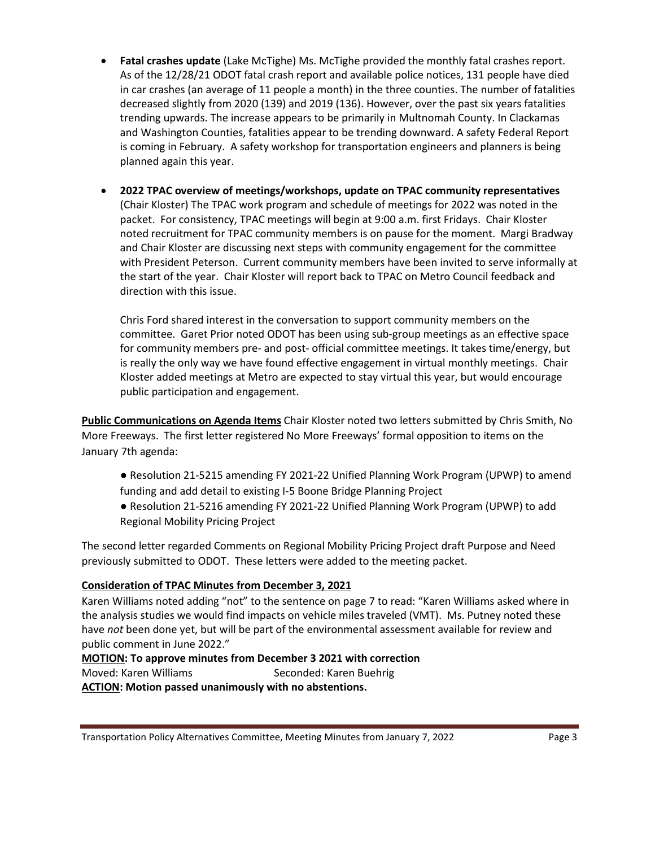- **Fatal crashes update** (Lake McTighe) Ms. McTighe provided the monthly fatal crashes report. As of the 12/28/21 ODOT fatal crash report and available police notices, 131 people have died in car crashes (an average of 11 people a month) in the three counties. The number of fatalities decreased slightly from 2020 (139) and 2019 (136). However, over the past six years fatalities trending upwards. The increase appears to be primarily in Multnomah County. In Clackamas and Washington Counties, fatalities appear to be trending downward. A safety Federal Report is coming in February. A safety workshop for transportation engineers and planners is being planned again this year.
- **2022 TPAC overview of meetings/workshops, update on TPAC community representatives** (Chair Kloster) The TPAC work program and schedule of meetings for 2022 was noted in the packet. For consistency, TPAC meetings will begin at 9:00 a.m. first Fridays. Chair Kloster noted recruitment for TPAC community members is on pause for the moment. Margi Bradway and Chair Kloster are discussing next steps with community engagement for the committee with President Peterson. Current community members have been invited to serve informally at the start of the year. Chair Kloster will report back to TPAC on Metro Council feedback and direction with this issue.

Chris Ford shared interest in the conversation to support community members on the committee. Garet Prior noted ODOT has been using sub-group meetings as an effective space for community members pre- and post- official committee meetings. It takes time/energy, but is really the only way we have found effective engagement in virtual monthly meetings. Chair Kloster added meetings at Metro are expected to stay virtual this year, but would encourage public participation and engagement.

**Public Communications on Agenda Items** Chair Kloster noted two letters submitted by Chris Smith, No More Freeways. The first letter registered No More Freeways' formal opposition to items on the January 7th agenda:

- Resolution 21-5215 amending FY 2021-22 Unified Planning Work Program (UPWP) to amend funding and add detail to existing I-5 Boone Bridge Planning Project
- Resolution 21-5216 amending FY 2021-22 Unified Planning Work Program (UPWP) to add Regional Mobility Pricing Project

The second letter regarded Comments on Regional Mobility Pricing Project draft Purpose and Need previously submitted to ODOT. These letters were added to the meeting packet.

# **Consideration of TPAC Minutes from December 3, 2021**

Karen Williams noted adding "not" to the sentence on page 7 to read: "Karen Williams asked where in the analysis studies we would find impacts on vehicle miles traveled (VMT). Ms. Putney noted these have *not* been done yet, but will be part of the environmental assessment available for review and public comment in June 2022."

#### **MOTION: To approve minutes from December 3 2021 with correction** Moved: Karen Williams Seconded: Karen Buehrig

**ACTION: Motion passed unanimously with no abstentions.**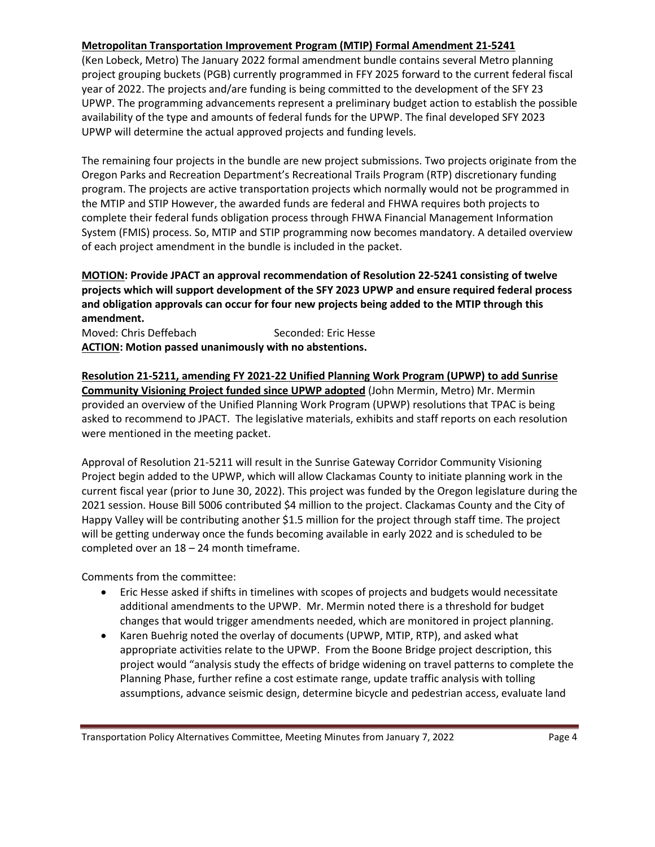### **Metropolitan Transportation Improvement Program (MTIP) Formal Amendment 21-5241**

(Ken Lobeck, Metro) The January 2022 formal amendment bundle contains several Metro planning project grouping buckets (PGB) currently programmed in FFY 2025 forward to the current federal fiscal year of 2022. The projects and/are funding is being committed to the development of the SFY 23 UPWP. The programming advancements represent a preliminary budget action to establish the possible availability of the type and amounts of federal funds for the UPWP. The final developed SFY 2023 UPWP will determine the actual approved projects and funding levels.

The remaining four projects in the bundle are new project submissions. Two projects originate from the Oregon Parks and Recreation Department's Recreational Trails Program (RTP) discretionary funding program. The projects are active transportation projects which normally would not be programmed in the MTIP and STIP However, the awarded funds are federal and FHWA requires both projects to complete their federal funds obligation process through FHWA Financial Management Information System (FMIS) process. So, MTIP and STIP programming now becomes mandatory. A detailed overview of each project amendment in the bundle is included in the packet.

# **MOTION: Provide JPACT an approval recommendation of Resolution 22-5241 consisting of twelve projects which will support development of the SFY 2023 UPWP and ensure required federal process and obligation approvals can occur for four new projects being added to the MTIP through this amendment.**

Moved: Chris Deffebach Seconded: Eric Hesse **ACTION: Motion passed unanimously with no abstentions.**

**Resolution 21-5211, amending FY 2021-22 Unified Planning Work Program (UPWP) to add Sunrise Community Visioning Project funded since UPWP adopted** (John Mermin, Metro) Mr. Mermin provided an overview of the Unified Planning Work Program (UPWP) resolutions that TPAC is being asked to recommend to JPACT. The legislative materials, exhibits and staff reports on each resolution were mentioned in the meeting packet.

Approval of Resolution 21-5211 will result in the Sunrise Gateway Corridor Community Visioning Project begin added to the UPWP, which will allow Clackamas County to initiate planning work in the current fiscal year (prior to June 30, 2022). This project was funded by the Oregon legislature during the 2021 session. House Bill 5006 contributed \$4 million to the project. Clackamas County and the City of Happy Valley will be contributing another \$1.5 million for the project through staff time. The project will be getting underway once the funds becoming available in early 2022 and is scheduled to be completed over an 18 – 24 month timeframe.

Comments from the committee:

- Eric Hesse asked if shifts in timelines with scopes of projects and budgets would necessitate additional amendments to the UPWP. Mr. Mermin noted there is a threshold for budget changes that would trigger amendments needed, which are monitored in project planning.
- Karen Buehrig noted the overlay of documents (UPWP, MTIP, RTP), and asked what appropriate activities relate to the UPWP. From the Boone Bridge project description, this project would "analysis study the effects of bridge widening on travel patterns to complete the Planning Phase, further refine a cost estimate range, update traffic analysis with tolling assumptions, advance seismic design, determine bicycle and pedestrian access, evaluate land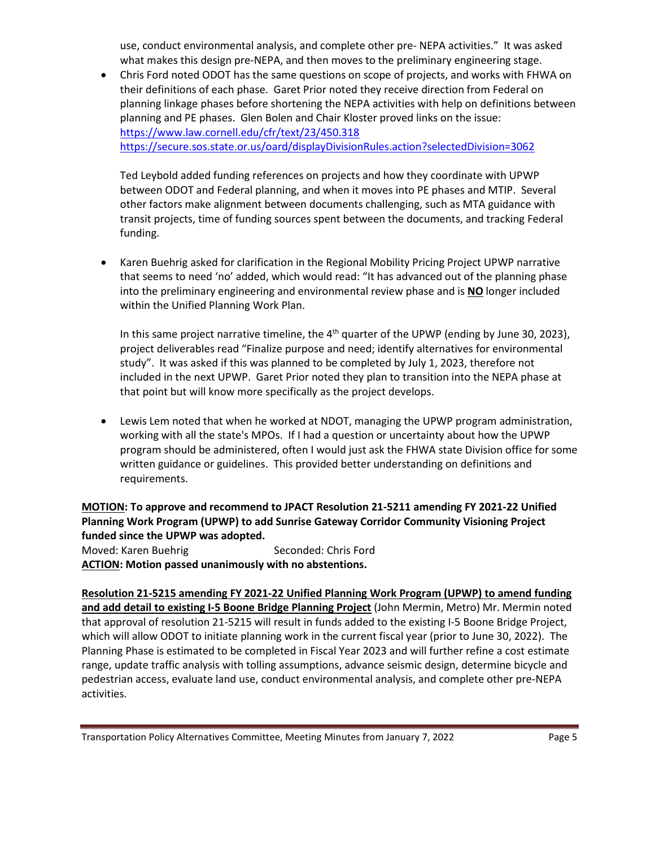use, conduct environmental analysis, and complete other pre- NEPA activities." It was asked what makes this design pre-NEPA, and then moves to the preliminary engineering stage.

• Chris Ford noted ODOT has the same questions on scope of projects, and works with FHWA on their definitions of each phase. Garet Prior noted they receive direction from Federal on planning linkage phases before shortening the NEPA activities with help on definitions between planning and PE phases. Glen Bolen and Chair Kloster proved links on the issue: <https://www.law.cornell.edu/cfr/text/23/450.318> <https://secure.sos.state.or.us/oard/displayDivisionRules.action?selectedDivision=3062>

Ted Leybold added funding references on projects and how they coordinate with UPWP between ODOT and Federal planning, and when it moves into PE phases and MTIP. Several other factors make alignment between documents challenging, such as MTA guidance with transit projects, time of funding sources spent between the documents, and tracking Federal funding.

• Karen Buehrig asked for clarification in the Regional Mobility Pricing Project UPWP narrative that seems to need 'no' added, which would read: "It has advanced out of the planning phase into the preliminary engineering and environmental review phase and is **NO** longer included within the Unified Planning Work Plan.

In this same project narrative timeline, the  $4<sup>th</sup>$  quarter of the UPWP (ending by June 30, 2023), project deliverables read "Finalize purpose and need; identify alternatives for environmental study". It was asked if this was planned to be completed by July 1, 2023, therefore not included in the next UPWP. Garet Prior noted they plan to transition into the NEPA phase at that point but will know more specifically as the project develops.

• Lewis Lem noted that when he worked at NDOT, managing the UPWP program administration, working with all the state's MPOs. If I had a question or uncertainty about how the UPWP program should be administered, often I would just ask the FHWA state Division office for some written guidance or guidelines. This provided better understanding on definitions and requirements.

**MOTION: To approve and recommend to JPACT Resolution 21-5211 amending FY 2021-22 Unified Planning Work Program (UPWP) to add Sunrise Gateway Corridor Community Visioning Project funded since the UPWP was adopted.**

Moved: Karen Buehrig Seconded: Chris Ford **ACTION: Motion passed unanimously with no abstentions.**

**Resolution 21-5215 amending FY 2021-22 Unified Planning Work Program (UPWP) to amend funding and add detail to existing I-5 Boone Bridge Planning Project** (John Mermin, Metro) Mr. Mermin noted that approval of resolution 21-5215 will result in funds added to the existing I-5 Boone Bridge Project, which will allow ODOT to initiate planning work in the current fiscal year (prior to June 30, 2022). The Planning Phase is estimated to be completed in Fiscal Year 2023 and will further refine a cost estimate range, update traffic analysis with tolling assumptions, advance seismic design, determine bicycle and pedestrian access, evaluate land use, conduct environmental analysis, and complete other pre-NEPA activities.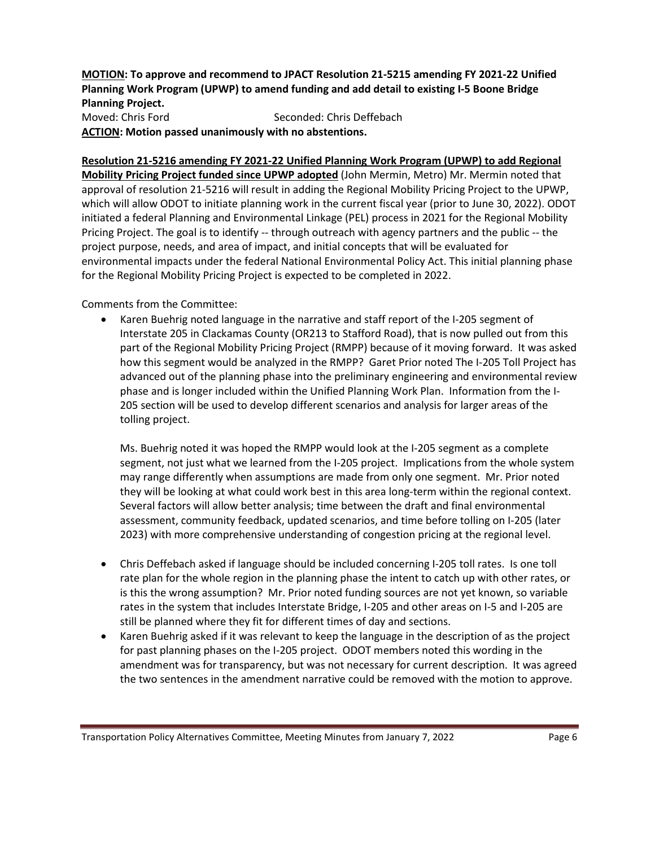**MOTION: To approve and recommend to JPACT Resolution 21-5215 amending FY 2021-22 Unified Planning Work Program (UPWP) to amend funding and add detail to existing I-5 Boone Bridge Planning Project.** Moved: Chris Ford Seconded: Chris Deffebach **ACTION: Motion passed unanimously with no abstentions.**

**Resolution 21-5216 amending FY 2021-22 Unified Planning Work Program (UPWP) to add Regional Mobility Pricing Project funded since UPWP adopted** (John Mermin, Metro) Mr. Mermin noted that approval of resolution 21-5216 will result in adding the Regional Mobility Pricing Project to the UPWP, which will allow ODOT to initiate planning work in the current fiscal year (prior to June 30, 2022). ODOT initiated a federal Planning and Environmental Linkage (PEL) process in 2021 for the Regional Mobility Pricing Project. The goal is to identify -- through outreach with agency partners and the public -- the project purpose, needs, and area of impact, and initial concepts that will be evaluated for environmental impacts under the federal National Environmental Policy Act. This initial planning phase for the Regional Mobility Pricing Project is expected to be completed in 2022.

Comments from the Committee:

• Karen Buehrig noted language in the narrative and staff report of the I-205 segment of Interstate 205 in Clackamas County (OR213 to Stafford Road), that is now pulled out from this part of the Regional Mobility Pricing Project (RMPP) because of it moving forward. It was asked how this segment would be analyzed in the RMPP? Garet Prior noted The I-205 Toll Project has advanced out of the planning phase into the preliminary engineering and environmental review phase and is longer included within the Unified Planning Work Plan. Information from the I-205 section will be used to develop different scenarios and analysis for larger areas of the tolling project.

Ms. Buehrig noted it was hoped the RMPP would look at the I-205 segment as a complete segment, not just what we learned from the I-205 project. Implications from the whole system may range differently when assumptions are made from only one segment. Mr. Prior noted they will be looking at what could work best in this area long-term within the regional context. Several factors will allow better analysis; time between the draft and final environmental assessment, community feedback, updated scenarios, and time before tolling on I-205 (later 2023) with more comprehensive understanding of congestion pricing at the regional level.

- Chris Deffebach asked if language should be included concerning I-205 toll rates. Is one toll rate plan for the whole region in the planning phase the intent to catch up with other rates, or is this the wrong assumption? Mr. Prior noted funding sources are not yet known, so variable rates in the system that includes Interstate Bridge, I-205 and other areas on I-5 and I-205 are still be planned where they fit for different times of day and sections.
- Karen Buehrig asked if it was relevant to keep the language in the description of as the project for past planning phases on the I-205 project. ODOT members noted this wording in the amendment was for transparency, but was not necessary for current description. It was agreed the two sentences in the amendment narrative could be removed with the motion to approve.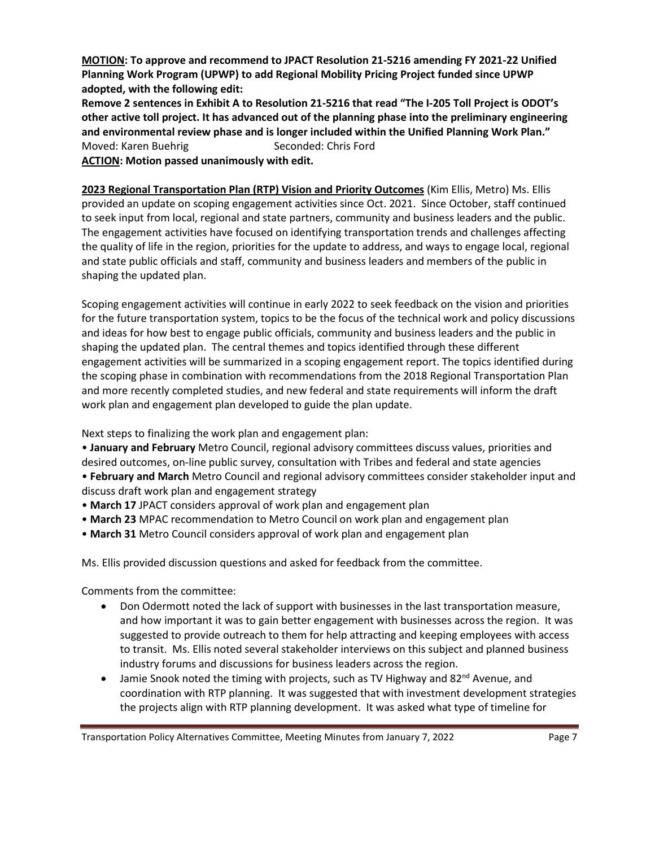**MOTION: To approve and recommend to JPACT Resolution 21-5216 amending FY 2021-22 Unified Planning Work Program (UPWP) to add Regional Mobility Pricing Project funded since UPWP adopted, with the following edit:**

**Remove 2 sentences in Exhibit A to Resolution 21-5216 that read "The I-205 Toll Project is ODOT's other active toll project. It has advanced out of the planning phase into the preliminary engineering and environmental review phase and is longer included within the Unified Planning Work Plan."** Moved: Karen Buehrig Seconded: Chris Ford **ACTION: Motion passed unanimously with edit.**

**2023 Regional Transportation Plan (RTP) Vision and Priority Outcomes** (Kim Ellis, Metro) Ms. Ellis provided an update on scoping engagement activities since Oct. 2021. Since October, staff continued to seek input from local, regional and state partners, community and business leaders and the public. The engagement activities have focused on identifying transportation trends and challenges affecting the quality of life in the region, priorities for the update to address, and ways to engage local, regional and state public officials and staff, community and business leaders and members of the public in shaping the updated plan.

Scoping engagement activities will continue in early 2022 to seek feedback on the vision and priorities for the future transportation system, topics to be the focus of the technical work and policy discussions and ideas for how best to engage public officials, community and business leaders and the public in shaping the updated plan. The central themes and topics identified through these different engagement activities will be summarized in a scoping engagement report. The topics identified during the scoping phase in combination with recommendations from the 2018 Regional Transportation Plan and more recently completed studies, and new federal and state requirements will inform the draft work plan and engagement plan developed to guide the plan update.

Next steps to finalizing the work plan and engagement plan:

• **January and February** Metro Council, regional advisory committees discuss values, priorities and desired outcomes, on-line public survey, consultation with Tribes and federal and state agencies

• **February and March** Metro Council and regional advisory committees consider stakeholder input and discuss draft work plan and engagement strategy

- **March 17** JPACT considers approval of work plan and engagement plan
- **March 23** MPAC recommendation to Metro Council on work plan and engagement plan
- **March 31** Metro Council considers approval of work plan and engagement plan

Ms. Ellis provided discussion questions and asked for feedback from the committee.

Comments from the committee:

- Don Odermott noted the lack of support with businesses in the last transportation measure, and how important it was to gain better engagement with businesses across the region. It was suggested to provide outreach to them for help attracting and keeping employees with access to transit. Ms. Ellis noted several stakeholder interviews on this subject and planned business industry forums and discussions for business leaders across the region.
- Jamie Snook noted the timing with projects, such as TV Highway and  $82^{nd}$  Avenue, and coordination with RTP planning. It was suggested that with investment development strategies the projects align with RTP planning development. It was asked what type of timeline for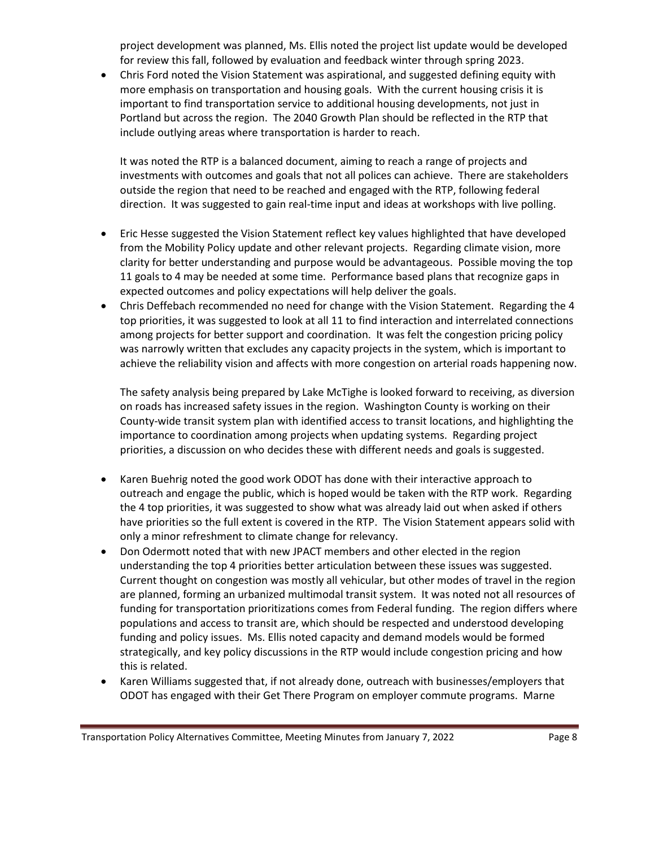project development was planned, Ms. Ellis noted the project list update would be developed for review this fall, followed by evaluation and feedback winter through spring 2023.

• Chris Ford noted the Vision Statement was aspirational, and suggested defining equity with more emphasis on transportation and housing goals. With the current housing crisis it is important to find transportation service to additional housing developments, not just in Portland but across the region. The 2040 Growth Plan should be reflected in the RTP that include outlying areas where transportation is harder to reach.

It was noted the RTP is a balanced document, aiming to reach a range of projects and investments with outcomes and goals that not all polices can achieve. There are stakeholders outside the region that need to be reached and engaged with the RTP, following federal direction. It was suggested to gain real-time input and ideas at workshops with live polling.

- Eric Hesse suggested the Vision Statement reflect key values highlighted that have developed from the Mobility Policy update and other relevant projects. Regarding climate vision, more clarity for better understanding and purpose would be advantageous. Possible moving the top 11 goals to 4 may be needed at some time. Performance based plans that recognize gaps in expected outcomes and policy expectations will help deliver the goals.
- Chris Deffebach recommended no need for change with the Vision Statement. Regarding the 4 top priorities, it was suggested to look at all 11 to find interaction and interrelated connections among projects for better support and coordination. It was felt the congestion pricing policy was narrowly written that excludes any capacity projects in the system, which is important to achieve the reliability vision and affects with more congestion on arterial roads happening now.

The safety analysis being prepared by Lake McTighe is looked forward to receiving, as diversion on roads has increased safety issues in the region. Washington County is working on their County-wide transit system plan with identified access to transit locations, and highlighting the importance to coordination among projects when updating systems. Regarding project priorities, a discussion on who decides these with different needs and goals is suggested.

- Karen Buehrig noted the good work ODOT has done with their interactive approach to outreach and engage the public, which is hoped would be taken with the RTP work. Regarding the 4 top priorities, it was suggested to show what was already laid out when asked if others have priorities so the full extent is covered in the RTP. The Vision Statement appears solid with only a minor refreshment to climate change for relevancy.
- Don Odermott noted that with new JPACT members and other elected in the region understanding the top 4 priorities better articulation between these issues was suggested. Current thought on congestion was mostly all vehicular, but other modes of travel in the region are planned, forming an urbanized multimodal transit system. It was noted not all resources of funding for transportation prioritizations comes from Federal funding. The region differs where populations and access to transit are, which should be respected and understood developing funding and policy issues. Ms. Ellis noted capacity and demand models would be formed strategically, and key policy discussions in the RTP would include congestion pricing and how this is related.
- Karen Williams suggested that, if not already done, outreach with businesses/employers that ODOT has engaged with their Get There Program on employer commute programs. Marne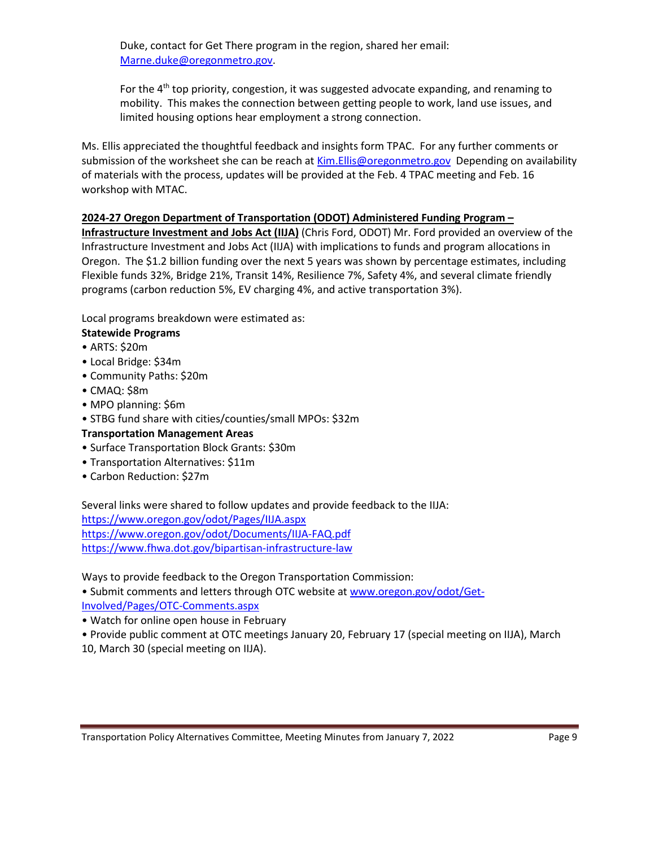Duke, contact for Get There program in the region, shared her email: [Marne.duke@oregonmetro.gov.](mailto:Marne.duke@oregonmetro.gov)

For the 4<sup>th</sup> top priority, congestion, it was suggested advocate expanding, and renaming to mobility. This makes the connection between getting people to work, land use issues, and limited housing options hear employment a strong connection.

Ms. Ellis appreciated the thoughtful feedback and insights form TPAC. For any further comments or submission of the worksheet she can be reach at [Kim.Ellis@oregonmetro.gov](mailto:Kim.Ellis@oregonmetro.gov) Depending on availability of materials with the process, updates will be provided at the Feb. 4 TPAC meeting and Feb. 16 workshop with MTAC.

# **2024-27 Oregon Department of Transportation (ODOT) Administered Funding Program –**

**Infrastructure Investment and Jobs Act (IIJA)** (Chris Ford, ODOT) Mr. Ford provided an overview of the Infrastructure Investment and Jobs Act (IIJA) with implications to funds and program allocations in Oregon. The \$1.2 billion funding over the next 5 years was shown by percentage estimates, including Flexible funds 32%, Bridge 21%, Transit 14%, Resilience 7%, Safety 4%, and several climate friendly programs (carbon reduction 5%, EV charging 4%, and active transportation 3%).

Local programs breakdown were estimated as:

- **Statewide Programs**
- ARTS: \$20m
- Local Bridge: \$34m
- Community Paths: \$20m
- CMAQ: \$8m
- MPO planning: \$6m
- STBG fund share with cities/counties/small MPOs: \$32m

# **Transportation Management Areas**

- Surface Transportation Block Grants: \$30m
- Transportation Alternatives: \$11m
- Carbon Reduction: \$27m

Several links were shared to follow updates and provide feedback to the IIJA: <https://www.oregon.gov/odot/Pages/IIJA.aspx> <https://www.oregon.gov/odot/Documents/IIJA-FAQ.pdf> <https://www.fhwa.dot.gov/bipartisan-infrastructure-law>

Ways to provide feedback to the Oregon Transportation Commission:

• Submit comments and letters through OTC website at [www.oregon.gov/odot/Get-](http://www.oregon.gov/odot/Get-Involved/Pages/OTC-Comments.aspx)[Involved/Pages/OTC-Comments.aspx](http://www.oregon.gov/odot/Get-Involved/Pages/OTC-Comments.aspx)

• Watch for online open house in February

• Provide public comment at OTC meetings January 20, February 17 (special meeting on IIJA), March

10, March 30 (special meeting on IIJA).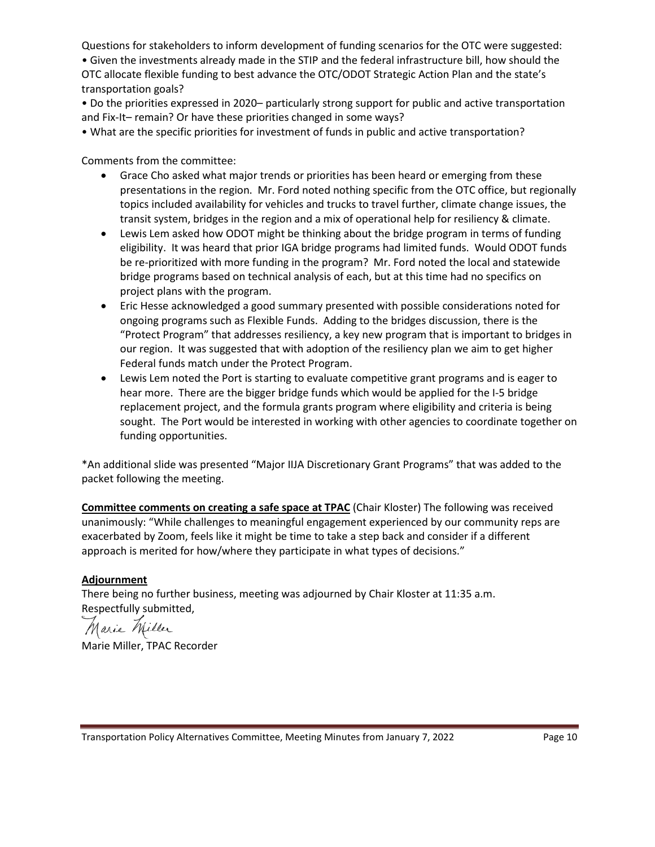Questions for stakeholders to inform development of funding scenarios for the OTC were suggested:

• Given the investments already made in the STIP and the federal infrastructure bill, how should the OTC allocate flexible funding to best advance the OTC/ODOT Strategic Action Plan and the state's transportation goals?

• Do the priorities expressed in 2020– particularly strong support for public and active transportation and Fix-It– remain? Or have these priorities changed in some ways?

• What are the specific priorities for investment of funds in public and active transportation?

Comments from the committee:

- Grace Cho asked what major trends or priorities has been heard or emerging from these presentations in the region. Mr. Ford noted nothing specific from the OTC office, but regionally topics included availability for vehicles and trucks to travel further, climate change issues, the transit system, bridges in the region and a mix of operational help for resiliency & climate.
- Lewis Lem asked how ODOT might be thinking about the bridge program in terms of funding eligibility. It was heard that prior IGA bridge programs had limited funds. Would ODOT funds be re-prioritized with more funding in the program? Mr. Ford noted the local and statewide bridge programs based on technical analysis of each, but at this time had no specifics on project plans with the program.
- Eric Hesse acknowledged a good summary presented with possible considerations noted for ongoing programs such as Flexible Funds. Adding to the bridges discussion, there is the "Protect Program" that addresses resiliency, a key new program that is important to bridges in our region. It was suggested that with adoption of the resiliency plan we aim to get higher Federal funds match under the Protect Program.
- Lewis Lem noted the Port is starting to evaluate competitive grant programs and is eager to hear more. There are the bigger bridge funds which would be applied for the I-5 bridge replacement project, and the formula grants program where eligibility and criteria is being sought. The Port would be interested in working with other agencies to coordinate together on funding opportunities.

\*An additional slide was presented "Major IIJA Discretionary Grant Programs" that was added to the packet following the meeting.

**Committee comments on creating a safe space at TPAC** (Chair Kloster) The following was received unanimously: "While challenges to meaningful engagement experienced by our community reps are exacerbated by Zoom, feels like it might be time to take a step back and consider if a different approach is merited for how/where they participate in what types of decisions."

# **Adjournment**

There being no further business, meeting was adjourned by Chair Kloster at 11:35 a.m. Respectfully submitted,

Marie Miller

Marie Miller, TPAC Recorder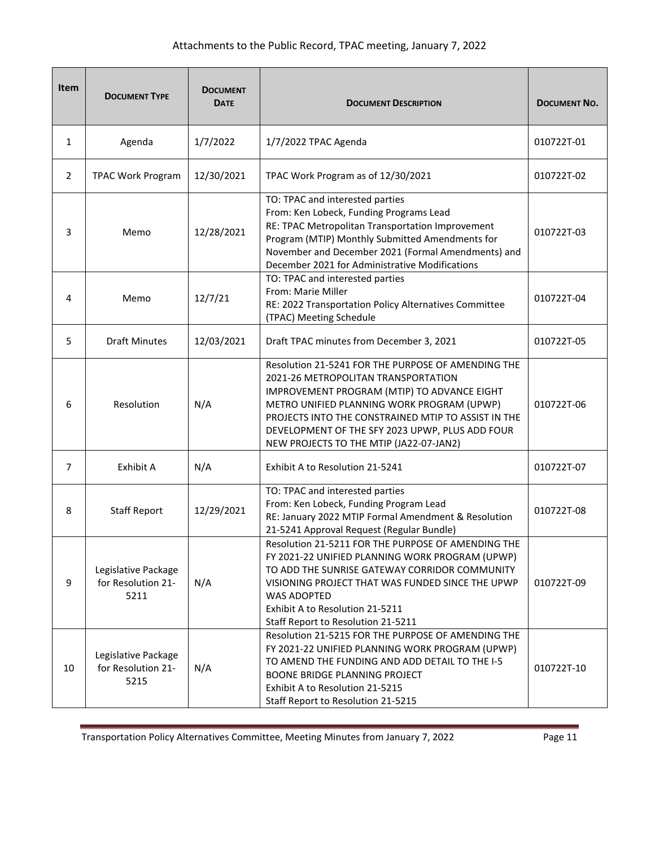| <b>Item</b>    | <b>DOCUMENT TYPE</b>                              | <b>DOCUMENT</b><br><b>DATE</b> | <b>DOCUMENT DESCRIPTION</b>                                                                                                                                                                                                                                                                                                                 | <b>DOCUMENT NO.</b> |
|----------------|---------------------------------------------------|--------------------------------|---------------------------------------------------------------------------------------------------------------------------------------------------------------------------------------------------------------------------------------------------------------------------------------------------------------------------------------------|---------------------|
| 1              | Agenda                                            | 1/7/2022                       | 1/7/2022 TPAC Agenda                                                                                                                                                                                                                                                                                                                        | 010722T-01          |
| $\overline{2}$ | <b>TPAC Work Program</b>                          | 12/30/2021                     | TPAC Work Program as of 12/30/2021                                                                                                                                                                                                                                                                                                          | 010722T-02          |
| 3              | Memo                                              | 12/28/2021                     | TO: TPAC and interested parties<br>From: Ken Lobeck, Funding Programs Lead<br>RE: TPAC Metropolitan Transportation Improvement<br>Program (MTIP) Monthly Submitted Amendments for<br>November and December 2021 (Formal Amendments) and<br>December 2021 for Administrative Modifications                                                   | 010722T-03          |
| 4              | Memo                                              | 12/7/21                        | TO: TPAC and interested parties<br>From: Marie Miller<br>RE: 2022 Transportation Policy Alternatives Committee<br>(TPAC) Meeting Schedule                                                                                                                                                                                                   | 010722T-04          |
| 5              | <b>Draft Minutes</b>                              | 12/03/2021                     | Draft TPAC minutes from December 3, 2021                                                                                                                                                                                                                                                                                                    | 010722T-05          |
| 6              | Resolution                                        | N/A                            | Resolution 21-5241 FOR THE PURPOSE OF AMENDING THE<br>2021-26 METROPOLITAN TRANSPORTATION<br>IMPROVEMENT PROGRAM (MTIP) TO ADVANCE EIGHT<br>METRO UNIFIED PLANNING WORK PROGRAM (UPWP)<br>PROJECTS INTO THE CONSTRAINED MTIP TO ASSIST IN THE<br>DEVELOPMENT OF THE SFY 2023 UPWP, PLUS ADD FOUR<br>NEW PROJECTS TO THE MTIP (JA22-07-JAN2) | 010722T-06          |
| $\overline{7}$ | Exhibit A                                         | N/A                            | Exhibit A to Resolution 21-5241                                                                                                                                                                                                                                                                                                             | 010722T-07          |
| 8              | <b>Staff Report</b>                               | 12/29/2021                     | TO: TPAC and interested parties<br>From: Ken Lobeck, Funding Program Lead<br>RE: January 2022 MTIP Formal Amendment & Resolution<br>21-5241 Approval Request (Regular Bundle)                                                                                                                                                               | 010722T-08          |
| 9              | Legislative Package<br>for Resolution 21-<br>5211 | N/A                            | Resolution 21-5211 FOR THE PURPOSE OF AMENDING THE<br>FY 2021-22 UNIFIED PLANNING WORK PROGRAM (UPWP)<br>TO ADD THE SUNRISE GATEWAY CORRIDOR COMMUNITY<br>VISIONING PROJECT THAT WAS FUNDED SINCE THE UPWP<br><b>WAS ADOPTED</b><br>Exhibit A to Resolution 21-5211<br>Staff Report to Resolution 21-5211                                   | 010722T-09          |
| 10             | Legislative Package<br>for Resolution 21-<br>5215 | N/A                            | Resolution 21-5215 FOR THE PURPOSE OF AMENDING THE<br>FY 2021-22 UNIFIED PLANNING WORK PROGRAM (UPWP)<br>TO AMEND THE FUNDING AND ADD DETAIL TO THE I-5<br><b>BOONE BRIDGE PLANNING PROJECT</b><br>Exhibit A to Resolution 21-5215<br>Staff Report to Resolution 21-5215                                                                    | 010722T-10          |